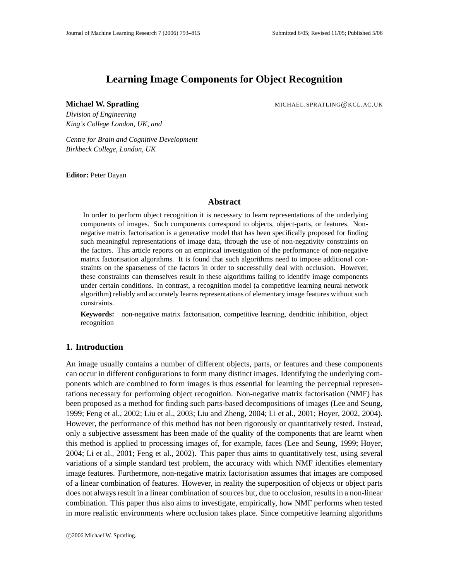# **Learning Image Components for Object Recognition**

**Michael W. Spratling** MICHAEL.SPRATLING@KCL.AC.UK

*Division of Engineering King's College London, UK, and*

*Centre for Brain and Cognitive Development Birkbeck College, London, UK*

**Editor:** Peter Dayan

## **Abstract**

In order to perform object recognition it is necessary to learn representations of the underlying components of images. Such components correspond to objects, object-parts, or features. Nonnegative matrix factorisation is a generative model that has been specifically proposed for finding such meaningful representations of image data, through the use of non-negativity constraints on the factors. This article reports on an empirical investigation of the performance of non-negative matrix factorisation algorithms. It is found that such algorithms need to impose additional constraints on the sparseness of the factors in order to successfully deal with occlusion. However, these constraints can themselves result in these algorithms failing to identify image components under certain conditions. In contrast, a recognition model (a competitive learning neural network algorithm) reliably and accurately learns representations of elementary image features without such constraints.

**Keywords:** non-negative matrix factorisation, competitive learning, dendritic inhibition, object recognition

# **1. Introduction**

An image usually contains a number of different objects, parts, or features and these components can occur in different configurations to form many distinct images. Identifying the underlying components which are combined to form images is thus essential for learning the perceptual representations necessary for performing object recognition. Non-negative matrix factorisation (NMF) has been proposed as a method for finding such parts-based decompositions of images (Lee and Seung, 1999; Feng et al., 2002; Liu et al., 2003; Liu and Zheng, 2004; Li et al., 2001; Hoyer, 2002, 2004). However, the performance of this method has not been rigorously or quantitatively tested. Instead, only a subjective assessment has been made of the quality of the components that are learnt when this method is applied to processing images of, for example, faces (Lee and Seung, 1999; Hoyer, 2004; Li et al., 2001; Feng et al., 2002). This paper thus aims to quantitatively test, using several variations of a simple standard test problem, the accuracy with which NMF identifies elementary image features. Furthermore, non-negative matrix factorisation assumes that images are composed of a linear combination of features. However, in reality the superposition of objects or object parts does not always result in a linear combination of sources but, due to occlusion, results in a non-linear combination. This paper thus also aims to investigate, empirically, how NMF performs when tested in more realistic environments where occlusion takes place. Since competitive learning algorithms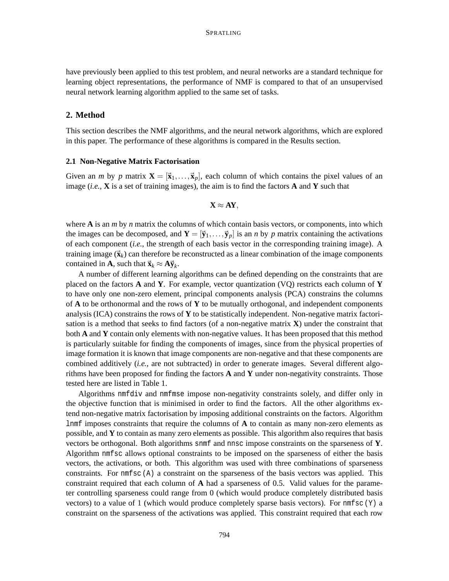have previously been applied to this test problem, and neural networks are a standard technique for learning object representations, the performance of NMF is compared to that of an unsupervised neural network learning algorithm applied to the same set of tasks.

# **2. Method**

This section describes the NMF algorithms, and the neural network algorithms, which are explored in this paper. The performance of these algorithms is compared in the Results section.

### **2.1 Non-Negative Matrix Factorisation**

Given an *m* by *p* matrix  $\mathbf{X} = [\mathbf{\vec{x}}_1, \dots, \mathbf{\vec{x}}_p]$ , each column of which contains the pixel values of an image (*i.e.*, **X** is a set of training images), the aim is to find the factors **A** and **Y** such that

$$
X\approx AY,
$$

where **A** is an *m* by *n* matrix the columns of which contain basis vectors, or components, into which the images can be decomposed, and  $\mathbf{Y} = [\vec{y}_1, \dots, \vec{y}_p]$  is an *n* by *p* matrix containing the activations of each component (*i.e.*, the strength of each basis vector in the corresponding training image). A training image  $(\vec{x}_k)$  can therefore be reconstructed as a linear combination of the image components contained in **A**, such that  $\vec{\mathbf{x}}_k \approx \mathbf{A} \vec{\mathbf{y}}_k$ .

A number of different learning algorithms can be defined depending on the constraints that are placed on the factors **A** and **Y**. For example, vector quantization (VQ) restricts each column of **Y** to have only one non-zero element, principal components analysis (PCA) constrains the columns of **A** to be orthonormal and the rows of **Y** to be mutually orthogonal, and independent components analysis (ICA) constrains the rows of **Y** to be statistically independent. Non-negative matrix factorisation is a method that seeks to find factors (of a non-negative matrix **X**) under the constraint that both **A** and **Y** contain only elements with non-negative values. It has been proposed that this method is particularly suitable for finding the components of images, since from the physical properties of image formation it is known that image components are non-negative and that these components are combined additively (*i.e.*, are not subtracted) in order to generate images. Several different algorithms have been proposed for finding the factors **A** and **Y** under non-negativity constraints. Those tested here are listed in Table 1.

Algorithms nmfdiv and nmfmse impose non-negativity constraints solely, and differ only in the objective function that is minimised in order to find the factors. All the other algorithms extend non-negative matrix factorisation by imposing additional constraints on the factors. Algorithm lnmf imposes constraints that require the columns of **A** to contain as many non-zero elements as possible, and **Y** to contain as many zero elements as possible. This algorithm also requires that basis vectors be orthogonal. Both algorithms snmf and nnsc impose constraints on the sparseness of **Y**. Algorithm nmfsc allows optional constraints to be imposed on the sparseness of either the basis vectors, the activations, or both. This algorithm was used with three combinations of sparseness constraints. For  $\text{nmfsc}$  (A) a constraint on the sparseness of the basis vectors was applied. This constraint required that each column of **A** had a sparseness of 0.5. Valid values for the parameter controlling sparseness could range from 0 (which would produce completely distributed basis vectors) to a value of 1 (which would produce completely sparse basis vectors). For  $\text{nmfsc}(\text{Y})$  a constraint on the sparseness of the activations was applied. This constraint required that each row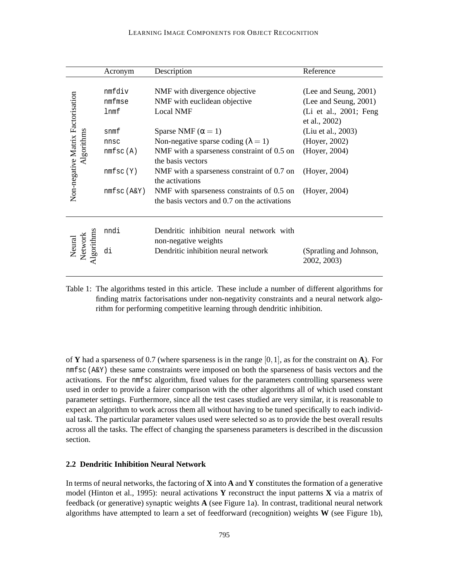#### LEARNING IMAGE COMPONENTS FOR OBJECT RECOGNITION

|                                                 | Acronym       | Description                                                                               | Reference                               |  |  |  |
|-------------------------------------------------|---------------|-------------------------------------------------------------------------------------------|-----------------------------------------|--|--|--|
| Non-negative Matrix Factorisation<br>Algorithms | nmfdiv        | NMF with divergence objective                                                             | (Lee and Seung, 2001)                   |  |  |  |
|                                                 | nmfmse        | NMF with euclidean objective                                                              | (Lee and Seung, 2001)                   |  |  |  |
|                                                 | lnmf          | <b>Local NMF</b>                                                                          | (Li et al., 2001; Feng<br>et al., 2002) |  |  |  |
|                                                 | snmf          | Sparse NMF ( $\alpha = 1$ )                                                               | (Liu et al., 2003)                      |  |  |  |
|                                                 | nnsc          | Non-negative sparse coding ( $\lambda = 1$ )                                              | (Hoyer, 2002)                           |  |  |  |
|                                                 | nmfsc(A)      | NMF with a sparseness constraint of 0.5 on<br>the basis vectors                           | (Hoyer, 2004)                           |  |  |  |
|                                                 | nmfsc(Y)      | NMF with a sparseness constraint of 0.7 on<br>the activations                             | (Hoyer, 2004)                           |  |  |  |
|                                                 | $nmfsc(A\&Y)$ | NMF with sparseness constraints of 0.5 on<br>the basis vectors and 0.7 on the activations | (Hoyer, 2004)                           |  |  |  |
| Algorithms<br>Neural<br>Network                 | nndi          | Dendritic inhibition neural network with<br>non-negative weights                          |                                         |  |  |  |
|                                                 | di            | Dendritic inhibition neural network                                                       | (Spratling and Johnson,<br>2002, 2003)  |  |  |  |

Table 1: The algorithms tested in this article. These include a number of different algorithms for finding matrix factorisations under non-negativity constraints and a neural network algorithm for performing competitive learning through dendritic inhibition.

of **Y** had a sparseness of 0.7 (where sparseness is in the range  $[0,1]$ , as for the constraint on **A**). For nmfsc (A&Y) these same constraints were imposed on both the sparseness of basis vectors and the activations. For the nmfsc algorithm, fixed values for the parameters controlling sparseness were used in order to provide a fairer comparison with the other algorithms all of which used constant parameter settings. Furthermore, since all the test cases studied are very similar, it is reasonable to expect an algorithm to work across them all without having to be tuned specifically to each individual task. The particular parameter values used were selected so as to provide the best overall results across all the tasks. The effect of changing the sparseness parameters is described in the discussion section.

## **2.2 Dendritic Inhibition Neural Network**

In terms of neural networks, the factoring of **X** into **A** and **Y** constitutes the formation of a generative model (Hinton et al., 1995): neural activations **Y** reconstruct the input patterns **X** via a matrix of feedback (or generative) synaptic weights **A** (see Figure 1a). In contrast, traditional neural network algorithms have attempted to learn a set of feedforward (recognition) weights **W** (see Figure 1b),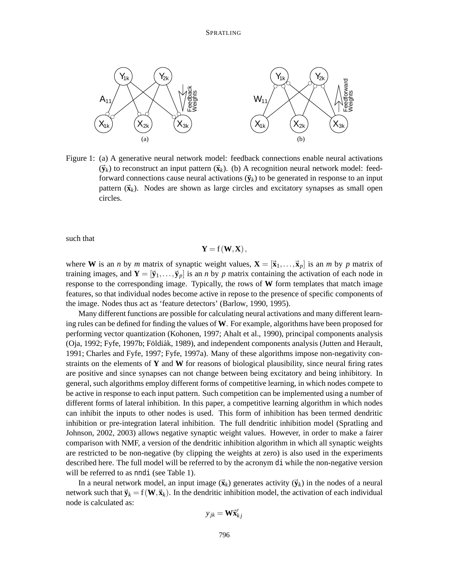

Figure 1: (a) A generative neural network model: feedback connections enable neural activations  $(\vec{y}_k)$  to reconstruct an input pattern  $(\vec{x}_k)$ . (b) A recognition neural network model: feedforward connections cause neural activations  $(\vec{y}_k)$  to be generated in response to an input pattern  $(\vec{x}_k)$ . Nodes are shown as large circles and excitatory synapses as small open circles.

such that

$$
\mathbf{Y} = \mathbf{f}(\mathbf{W}, \mathbf{X}),
$$

where **W** is an *n* by *m* matrix of synaptic weight values,  $\mathbf{X} = [\vec{x}_1, \dots, \vec{x}_p]$  is an *m* by *p* matrix of training images, and  $\mathbf{Y} = [\vec{y}_1, \dots, \vec{y}_p]$  is an *n* by *p* matrix containing the activation of each node in response to the corresponding image. Typically, the rows of **W** form templates that match image features, so that individual nodes become active in repose to the presence of specific components of the image. Nodes thus act as 'feature detectors' (Barlow, 1990, 1995).

Many different functions are possible for calculating neural activations and many different learning rules can be defined for finding the values of **W**. For example, algorithms have been proposed for performing vector quantization (Kohonen, 1997; Ahalt et al., 1990), principal components analysis (Oja, 1992; Fyfe, 1997b; Földiák, 1989), and independent components analysis (Jutten and Herault, 1991; Charles and Fyfe, 1997; Fyfe, 1997a). Many of these algorithms impose non-negativity constraints on the elements of **Y** and **W** for reasons of biological plausibility, since neural firing rates are positive and since synapses can not change between being excitatory and being inhibitory. In general, such algorithms employ different forms of competitive learning, in which nodes compete to be active in response to each input pattern. Such competition can be implemented using a number of different forms of lateral inhibition. In this paper, a competitive learning algorithm in which nodes can inhibit the inputs to other nodes is used. This form of inhibition has been termed dendritic inhibition or pre-integration lateral inhibition. The full dendritic inhibition model (Spratling and Johnson, 2002, 2003) allows negative synaptic weight values. However, in order to make a fairer comparison with NMF, a version of the dendritic inhibition algorithm in which all synaptic weights are restricted to be non-negative (by clipping the weights at zero) is also used in the experiments described here. The full model will be referred to by the acronym di while the non-negative version will be referred to as nndi (see Table 1).

In a neural network model, an input image  $(\vec{\mathbf{x}}_k)$  generates activity  $(\vec{\mathbf{y}}_k)$  in the nodes of a neural network such that  $\vec{y}_k = f(\mathbf{W}, \vec{x}_k)$ . In the dendritic inhibition model, the activation of each individual node is calculated as:

$$
y_{jk} = \mathbf{W}\vec{\mathbf{x}}'_{kj}
$$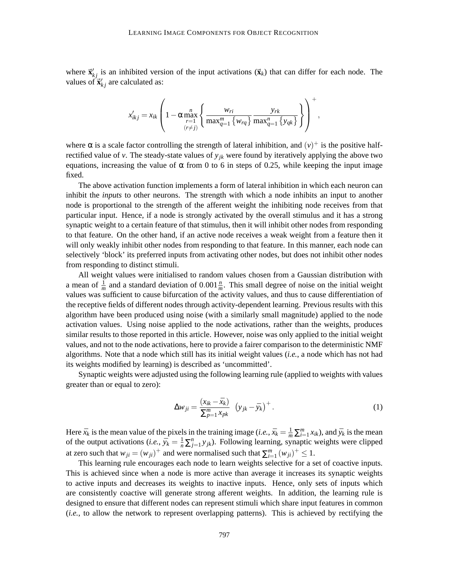where  $\vec{x}'_{kj}$  is an inhibited version of the input activations  $(\vec{x}_k)$  that can differ for each node. The values of  $\vec{x}'_{kj}$  are calculated as:

$$
x'_{ikj} = x_{ik} \left( 1 - \alpha \max_{\substack{r=1 \\ (r \neq j)}}^n \left\{ \frac{w_{ri}}{\max_{q=1}^m \{w_{rq}\}} \frac{y_{rk}}{\max_{q=1}^n \{y_{qk}\}} \right\} \right)^+,
$$

where  $\alpha$  is a scale factor controlling the strength of lateral inhibition, and  $(v)^+$  is the positive halfrectified value of  $v$ . The steady-state values of  $y_{jk}$  were found by iteratively applying the above two equations, increasing the value of  $\alpha$  from 0 to 6 in steps of 0.25, while keeping the input image fixed.

The above activation function implements a form of lateral inhibition in which each neuron can inhibit the *inputs* to other neurons. The strength with which a node inhibits an input to another node is proportional to the strength of the afferent weight the inhibiting node receives from that particular input. Hence, if a node is strongly activated by the overall stimulus and it has a strong synaptic weight to a certain feature of that stimulus, then it will inhibit other nodes from responding to that feature. On the other hand, if an active node receives a weak weight from a feature then it will only weakly inhibit other nodes from responding to that feature. In this manner, each node can selectively 'block' its preferred inputs from activating other nodes, but does not inhibit other nodes from responding to distinct stimuli.

All weight values were initialised to random values chosen from a Gaussian distribution with a mean of  $\frac{1}{m}$  and a standard deviation of 0.001 $\frac{n}{m}$ . This small degree of noise on the initial weight values was sufficient to cause bifurcation of the activity values, and thus to cause differentiation of the receptive fields of different nodes through activity-dependent learning. Previous results with this algorithm have been produced using noise (with a similarly small magnitude) applied to the node activation values. Using noise applied to the node activations, rather than the weights, produces similar results to those reported in this article. However, noise was only applied to the initial weight values, and not to the node activations, here to provide a fairer comparison to the deterministic NMF algorithms. Note that a node which still has its initial weight values (*i.e.*, a node which has not had its weights modified by learning) is described as 'uncommitted'.

Synaptic weights were adjusted using the following learning rule (applied to weights with values greater than or equal to zero):

$$
\Delta w_{ji} = \frac{(x_{ik} - \bar{x}_k)}{\sum_{p=1}^{m} x_{pk}} (y_{jk} - \bar{y}_k)^+.
$$
 (1)

Here  $\bar{x}_k$  is the mean value of the pixels in the training image (*i.e.*,  $\bar{x}_k = \frac{1}{m} \sum_{i=1}^m x_{ik}$ ), and  $\bar{y}_k$  is the mean of the output activations (*i.e.*,  $\bar{y}_k = \frac{1}{n} \sum_{j=1}^n y_{jk}$ ). Following learning, synaptic weights were clipped at zero such that  $w_{ji} = (w_{ji})^+$  and were normalised such that  $\sum_{i=1}^m (w_{ji})^+ \leq 1$ .

This learning rule encourages each node to learn weights selective for a set of coactive inputs. This is achieved since when a node is more active than average it increases its synaptic weights to active inputs and decreases its weights to inactive inputs. Hence, only sets of inputs which are consistently coactive will generate strong afferent weights. In addition, the learning rule is designed to ensure that different nodes can represent stimuli which share input features in common (*i.e.*, to allow the network to represent overlapping patterns). This is achieved by rectifying the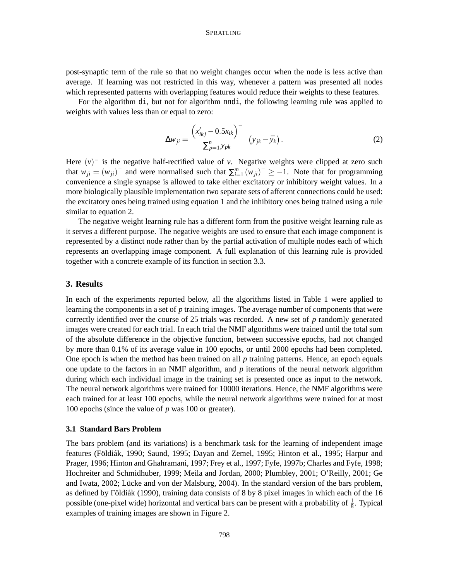post-synaptic term of the rule so that no weight changes occur when the node is less active than average. If learning was not restricted in this way, whenever a pattern was presented all nodes which represented patterns with overlapping features would reduce their weights to these features.

For the algorithm di, but not for algorithm nndi, the following learning rule was applied to weights with values less than or equal to zero:

$$
\Delta w_{ji} = \frac{\left(x'_{ikj} - 0.5x_{ik}\right)^{-}}{\sum_{p=1}^{n} y_{pk}} \left(y_{jk} - \bar{y}_k\right).
$$
 (2)

Here  $(v)^-$  is the negative half-rectified value of *v*. Negative weights were clipped at zero such that  $w_{ji} = (w_{ji})$ <sup>-</sup> and were normalised such that  $\sum_{i=1}^{m} (w_{ji})^{-} \ge -1$ . Note that for programming convenience a single synapse is allowed to take either excitatory or inhibitory weight values. In a more biologically plausible implementation two separate sets of afferent connections could be used: the excitatory ones being trained using equation 1 and the inhibitory ones being trained using a rule similar to equation 2.

The negative weight learning rule has a different form from the positive weight learning rule as it serves a different purpose. The negative weights are used to ensure that each image component is represented by a distinct node rather than by the partial activation of multiple nodes each of which represents an overlapping image component. A full explanation of this learning rule is provided together with a concrete example of its function in section 3.3.

# **3. Results**

In each of the experiments reported below, all the algorithms listed in Table 1 were applied to learning the components in a set of *p* training images. The average number of components that were correctly identified over the course of 25 trials was recorded. A new set of *p* randomly generated images were created for each trial. In each trial the NMF algorithms were trained until the total sum of the absolute difference in the objective function, between successive epochs, had not changed by more than 0.1% of its average value in 100 epochs, or until 2000 epochs had been completed. One epoch is when the method has been trained on all *p* training patterns. Hence, an epoch equals one update to the factors in an NMF algorithm, and  $p$  iterations of the neural network algorithm during which each individual image in the training set is presented once as input to the network. The neural network algorithms were trained for 10000 iterations. Hence, the NMF algorithms were each trained for at least 100 epochs, while the neural network algorithms were trained for at most 100 epochs (since the value of *p* was 100 or greater).

#### **3.1 Standard Bars Problem**

The bars problem (and its variations) is a benchmark task for the learning of independent image features (Földiák, 1990; Saund, 1995; Dayan and Zemel, 1995; Hinton et al., 1995; Harpur and Prager, 1996; Hinton and Ghahramani, 1997; Frey et al., 1997; Fyfe, 1997b; Charles and Fyfe, 1998; Hochreiter and Schmidhuber, 1999; Meila and Jordan, 2000; Plumbley, 2001; O'Reilly, 2001; Ge and Iwata, 2002; Lücke and von der Malsburg, 2004). In the standard version of the bars problem, as defined by Földiák (1990), training data consists of 8 by 8 pixel images in which each of the  $16$ possible (one-pixel wide) horizontal and vertical bars can be present with a probability of  $\frac{1}{8}$ . Typical examples of training images are shown in Figure 2.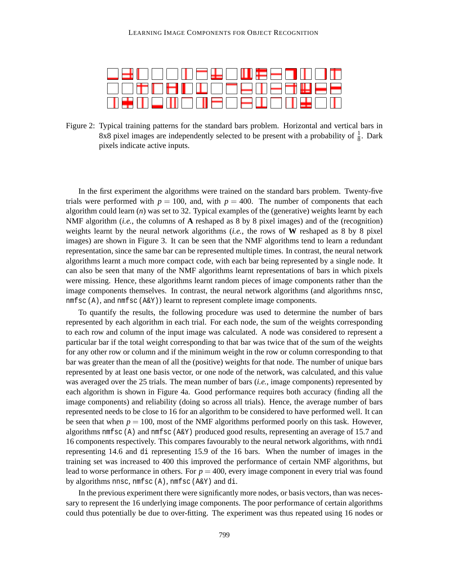| <u>to ek in die klima es diwijs es a knjoh</u> ji |
|---------------------------------------------------|
|                                                   |
| <u> ANEX AN EN AN HEITHEAD EI DE AN EIL AN DI</u> |

Figure 2: Typical training patterns for the standard bars problem. Horizontal and vertical bars in 8x8 pixel images are independently selected to be present with a probability of  $\frac{1}{8}$  $\frac{1}{8}$ . Dark pixels indicate active inputs.

In the first experiment the algorithms were trained on the standard bars problem. Twenty-five trials were performed with  $p = 100$ , and, with  $p = 400$ . The number of components that each algorithm could learn (*n*) was set to 32. Typical examples of the (generative) weights learnt by each NMF algorithm (*i.e.*, the columns of **A** reshaped as 8 by 8 pixel images) and of the (recognition) weights learnt by the neural network algorithms (*i.e.*, the rows of **W** reshaped as 8 by 8 pixel images) are shown in Figure 3. It can be seen that the NMF algorithms tend to learn a redundant representation, since the same bar can be represented multiple times. In contrast, the neural network algorithms learnt a much more compact code, with each bar being represented by a single node. It can also be seen that many of the NMF algorithms learnt representations of bars in which pixels were missing. Hence, these algorithms learnt random pieces of image components rather than the image components themselves. In contrast, the neural network algorithms (and algorithms nnsc, nmfsc (A), and nmfsc (A&Y)) learnt to represent complete image components.

To quantify the results, the following procedure was used to determine the number of bars represented by each algorithm in each trial. For each node, the sum of the weights corresponding to each row and column of the input image was calculated. A node was considered to represent a particular bar if the total weight corresponding to that bar was twice that of the sum of the weights for any other row or column and if the minimum weight in the row or column corresponding to that bar was greater than the mean of all the (positive) weights for that node. The number of unique bars represented by at least one basis vector, or one node of the network, was calculated, and this value was averaged over the 25 trials. The mean number of bars (*i.e.*, image components) represented by each algorithm is shown in Figure 4a. Good performance requires both accuracy (finding all the image components) and reliability (doing so across all trials). Hence, the average number of bars represented needs to be close to 16 for an algorithm to be considered to have performed well. It can be seen that when  $p = 100$ , most of the NMF algorithms performed poorly on this task. However, algorithms nmfsc ( $A$ ) and nmfsc ( $A\&Y$ ) produced good results, representing an average of 15.7 and 16 components respectively. This compares favourably to the neural network algorithms, with nndi representing 14.6 and di representing 15.9 of the 16 bars. When the number of images in the training set was increased to 400 this improved the performance of certain NMF algorithms, but lead to worse performance in others. For  $p = 400$ , every image component in every trial was found by algorithms nnsc, nmfsc (A), nmfsc (A&Y) and di.

In the previous experiment there were significantly more nodes, or basis vectors, than was necessary to represent the 16 underlying image components. The poor performance of certain algorithms could thus potentially be due to over-fitting. The experiment was thus repeated using 16 nodes or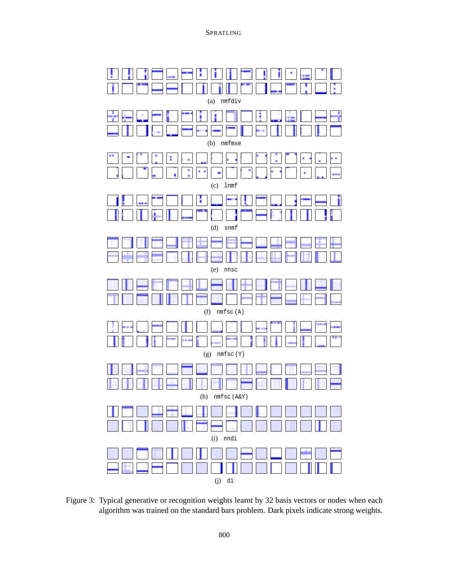

Figure 3: Typical generative or recognition weights learnt by 32 basis vectors or nodes when each algorithm was trained on the standard bars problem. Dark pixels indicate strong weights.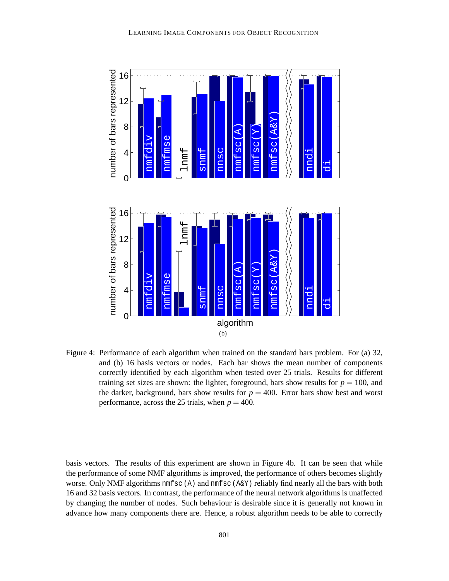

Figure 4: Performance of each algorithm when trained on the standard bars problem. For (a) 32, and (b) 16 basis vectors or nodes. Each bar shows the mean number of components correctly identified by each algorithm when tested over 25 trials. Results for different training set sizes are shown: the lighter, foreground, bars show results for  $p = 100$ , and the darker, background, bars show results for  $p = 400$ . Error bars show best and worst performance, across the 25 trials, when  $p = 400$ .

basis vectors. The results of this experiment are shown in Figure 4b. It can be seen that while the performance of some NMF algorithms is improved, the performance of others becomes slightly worse. Only NMF algorithms nmfsc (A) and nmfsc (A&Y) reliably find nearly all the bars with both 16 and 32 basis vectors. In contrast, the performance of the neural network algorithms is unaffected by changing the number of nodes. Such behaviour is desirable since it is generally not known in advance how many components there are. Hence, a robust algorithm needs to be able to correctly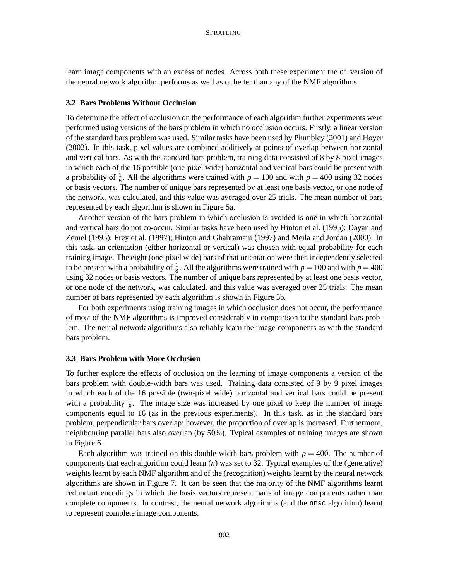learn image components with an excess of nodes. Across both these experiment the di version of the neural network algorithm performs as well as or better than any of the NMF algorithms.

## **3.2 Bars Problems Without Occlusion**

To determine the effect of occlusion on the performance of each algorithm further experiments were performed using versions of the bars problem in which no occlusion occurs. Firstly, a linear version of the standard bars problem was used. Similar tasks have been used by Plumbley (2001) and Hoyer (2002). In this task, pixel values are combined additively at points of overlap between horizontal and vertical bars. As with the standard bars problem, training data consisted of 8 by 8 pixel images in which each of the 16 possible (one-pixel wide) horizontal and vertical bars could be present with a probability of  $\frac{1}{8}$ . All the algorithms were trained with  $p = 100$  and with  $p = 400$  using 32 nodes or basis vectors. The number of unique bars represented by at least one basis vector, or one node of the network, was calculated, and this value was averaged over 25 trials. The mean number of bars represented by each algorithm is shown in Figure 5a.

Another version of the bars problem in which occlusion is avoided is one in which horizontal and vertical bars do not co-occur. Similar tasks have been used by Hinton et al. (1995); Dayan and Zemel (1995); Frey et al. (1997); Hinton and Ghahramani (1997) and Meila and Jordan (2000). In this task, an orientation (either horizontal or vertical) was chosen with equal probability for each training image. The eight (one-pixel wide) bars of that orientation were then independently selected to be present with a probability of  $\frac{1}{8}$ . All the algorithms were trained with  $p = 100$  and with  $p = 400$ using 32 nodes or basis vectors. The number of unique bars represented by at least one basis vector, or one node of the network, was calculated, and this value was averaged over 25 trials. The mean number of bars represented by each algorithm is shown in Figure 5b.

For both experiments using training images in which occlusion does not occur, the performance of most of the NMF algorithms is improved considerably in comparison to the standard bars problem. The neural network algorithms also reliably learn the image components as with the standard bars problem.

### **3.3 Bars Problem with More Occlusion**

To further explore the effects of occlusion on the learning of image components a version of the bars problem with double-width bars was used. Training data consisted of 9 by 9 pixel images in which each of the 16 possible (two-pixel wide) horizontal and vertical bars could be present with a probability  $\frac{1}{8}$ . The image size was increased by one pixel to keep the number of image components equal to 16 (as in the previous experiments). In this task, as in the standard bars problem, perpendicular bars overlap; however, the proportion of overlap is increased. Furthermore, neighbouring parallel bars also overlap (by 50%). Typical examples of training images are shown in Figure 6.

Each algorithm was trained on this double-width bars problem with  $p = 400$ . The number of components that each algorithm could learn (*n*) was set to 32. Typical examples of the (generative) weights learnt by each NMF algorithm and of the (recognition) weights learnt by the neural network algorithms are shown in Figure 7. It can be seen that the majority of the NMF algorithms learnt redundant encodings in which the basis vectors represent parts of image components rather than complete components. In contrast, the neural network algorithms (and the nnsc algorithm) learnt to represent complete image components.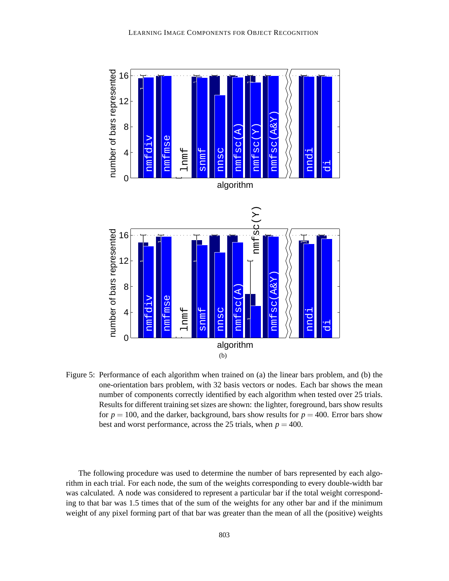

Figure 5: Performance of each algorithm when trained on (a) the linear bars problem, and (b) the one-orientation bars problem, with 32 basis vectors or nodes. Each bar shows the mean number of components correctly identified by each algorithm when tested over 25 trials. Results for different training set sizes are shown: the lighter, foreground, bars show results for  $p = 100$ , and the darker, background, bars show results for  $p = 400$ . Error bars show best and worst performance, across the 25 trials, when  $p = 400$ .

The following procedure was used to determine the number of bars represented by each algorithm in each trial. For each node, the sum of the weights corresponding to every double-width bar was calculated. A node was considered to represent a particular bar if the total weight corresponding to that bar was 1.5 times that of the sum of the weights for any other bar and if the minimum weight of any pixel forming part of that bar was greater than the mean of all the (positive) weights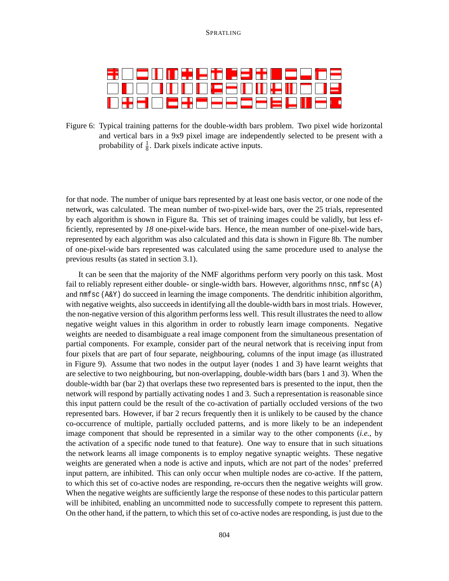|  | <b>ODOOOOOO BEEGOOOP</b>   |  |  |  |  |
|--|----------------------------|--|--|--|--|
|  | ▐▊▚▚▅▎▁▏▅▗▚▗▅▗▄▗▄▗▄▗▄▗▄▗▗▗ |  |  |  |  |

Figure 6: Typical training patterns for the double-width bars problem. Two pixel wide horizontal and vertical bars in a 9x9 pixel image are independently selected to be present with a probability of  $\frac{1}{8}$ . Dark pixels indicate active inputs.

for that node. The number of unique bars represented by at least one basis vector, or one node of the network, was calculated. The mean number of two-pixel-wide bars, over the 25 trials, represented by each algorithm is shown in Figure 8a. This set of training images could be validly, but less efficiently, represented by *18* one-pixel-wide bars. Hence, the mean number of one-pixel-wide bars, represented by each algorithm was also calculated and this data is shown in Figure 8b. The number of one-pixel-wide bars represented was calculated using the same procedure used to analyse the previous results (as stated in section 3.1).

It can be seen that the majority of the NMF algorithms perform very poorly on this task. Most fail to reliably represent either double- or single-width bars. However, algorithms nnsc, nmfsc  $(A)$ and nmfsc (A&Y) do succeed in learning the image components. The dendritic inhibition algorithm, with negative weights, also succeeds in identifying all the double-width bars in most trials. However, the non-negative version of this algorithm performs less well. This result illustrates the need to allow negative weight values in this algorithm in order to robustly learn image components. Negative weights are needed to disambiguate a real image component from the simultaneous presentation of partial components. For example, consider part of the neural network that is receiving input from four pixels that are part of four separate, neighbouring, columns of the input image (as illustrated in Figure 9). Assume that two nodes in the output layer (nodes 1 and 3) have learnt weights that are selective to two neighbouring, but non-overlapping, double-width bars (bars 1 and 3). When the double-width bar (bar 2) that overlaps these two represented bars is presented to the input, then the network will respond by partially activating nodes 1 and 3. Such a representation is reasonable since this input pattern could be the result of the co-activation of partially occluded versions of the two represented bars. However, if bar 2 recurs frequently then it is unlikely to be caused by the chance co-occurrence of multiple, partially occluded patterns, and is more likely to be an independent image component that should be represented in a similar way to the other components (*i.e.*, by the activation of a specific node tuned to that feature). One way to ensure that in such situations the network learns all image components is to employ negative synaptic weights. These negative weights are generated when a node is active and inputs, which are not part of the nodes' preferred input pattern, are inhibited. This can only occur when multiple nodes are co-active. If the pattern, to which this set of co-active nodes are responding, re-occurs then the negative weights will grow. When the negative weights are sufficiently large the response of these nodes to this particular pattern will be inhibited, enabling an uncommitted node to successfully compete to represent this pattern. On the other hand, if the pattern, to which this set of co-active nodes are responding, is just due to the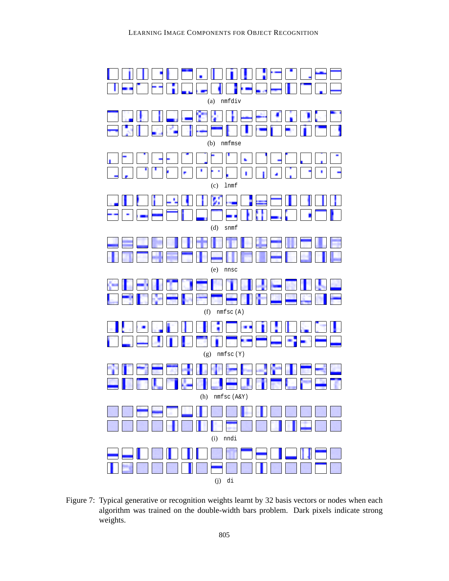

Figure 7: Typical generative or recognition weights learnt by 32 basis vectors or nodes when each algorithm was trained on the double-width bars problem. Dark pixels indicate strong weights.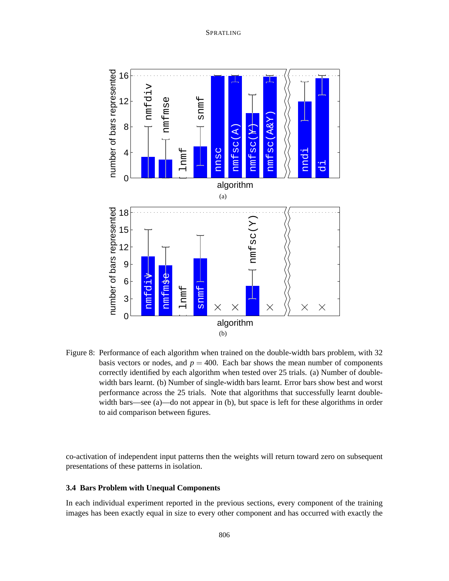

Figure 8: Performance of each algorithm when trained on the double-width bars problem, with 32 basis vectors or nodes, and  $p = 400$ . Each bar shows the mean number of components correctly identified by each algorithm when tested over 25 trials. (a) Number of doublewidth bars learnt. (b) Number of single-width bars learnt. Error bars show best and worst performance across the 25 trials. Note that algorithms that successfully learnt doublewidth bars—see (a)—do not appear in (b), but space is left for these algorithms in order to aid comparison between figures.

co-activation of independent input patterns then the weights will return toward zero on subsequent presentations of these patterns in isolation.

## **3.4 Bars Problem with Unequal Components**

In each individual experiment reported in the previous sections, every component of the training images has been exactly equal in size to every other component and has occurred with exactly the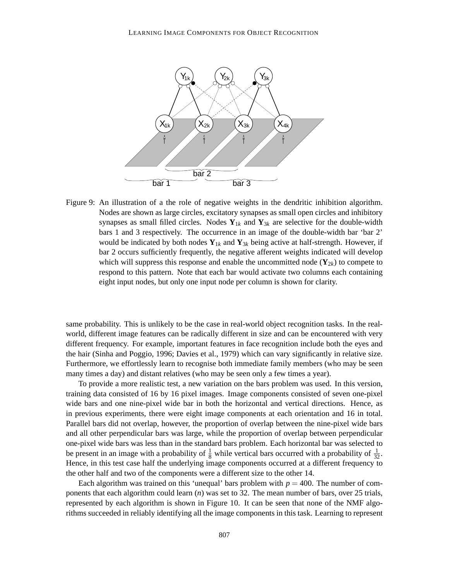

Figure 9: An illustration of a the role of negative weights in the dendritic inhibition algorithm. Nodes are shown as large circles, excitatory synapses as small open circles and inhibitory synapses as small filled circles. Nodes  $Y_{1k}$  and  $Y_{3k}$  are selective for the double-width bars 1 and 3 respectively. The occurrence in an image of the double-width bar 'bar 2' would be indicated by both nodes  $Y_{1k}$  and  $Y_{3k}$  being active at half-strength. However, if bar 2 occurs sufficiently frequently, the negative afferent weights indicated will develop which will suppress this response and enable the uncommitted node  $(Y_{2k})$  to compete to respond to this pattern. Note that each bar would activate two columns each containing eight input nodes, but only one input node per column is shown for clarity.

same probability. This is unlikely to be the case in real-world object recognition tasks. In the realworld, different image features can be radically different in size and can be encountered with very different frequency. For example, important features in face recognition include both the eyes and the hair (Sinha and Poggio, 1996; Davies et al., 1979) which can vary significantly in relative size. Furthermore, we effortlessly learn to recognise both immediate family members (who may be seen many times a day) and distant relatives (who may be seen only a few times a year).

To provide a more realistic test, a new variation on the bars problem was used. In this version, training data consisted of 16 by 16 pixel images. Image components consisted of seven one-pixel wide bars and one nine-pixel wide bar in both the horizontal and vertical directions. Hence, as in previous experiments, there were eight image components at each orientation and 16 in total. Parallel bars did not overlap, however, the proportion of overlap between the nine-pixel wide bars and all other perpendicular bars was large, while the proportion of overlap between perpendicular one-pixel wide bars was less than in the standard bars problem. Each horizontal bar was selected to be present in an image with a probability of  $\frac{1}{8}$  while vertical bars occurred with a probability of  $\frac{1}{32}$ . Hence, in this test case half the underlying image components occurred at a different frequency to the other half and two of the components were a different size to the other 14.

Each algorithm was trained on this 'unequal' bars problem with  $p = 400$ . The number of components that each algorithm could learn (*n*) was set to 32. The mean number of bars, over 25 trials, represented by each algorithm is shown in Figure 10. It can be seen that none of the NMF algorithms succeeded in reliably identifying all the image components in this task. Learning to represent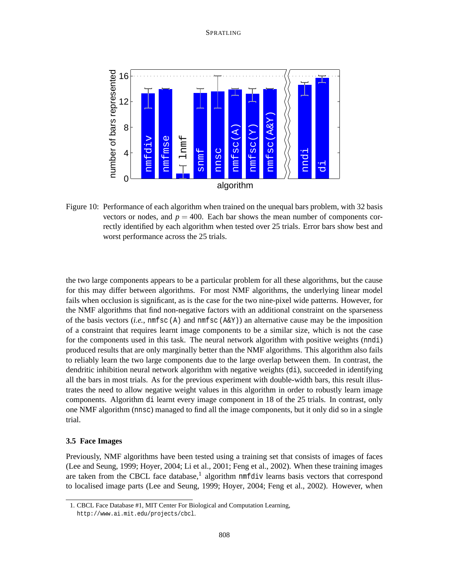

Figure 10: Performance of each algorithm when trained on the unequal bars problem, with 32 basis vectors or nodes, and  $p = 400$ . Each bar shows the mean number of components correctly identified by each algorithm when tested over 25 trials. Error bars show best and worst performance across the 25 trials.

the two large components appears to be a particular problem for all these algorithms, but the cause for this may differ between algorithms. For most NMF algorithms, the underlying linear model fails when occlusion is significant, as is the case for the two nine-pixel wide patterns. However, for the NMF algorithms that find non-negative factors with an additional constraint on the sparseness of the basis vectors  $(i.e., \text{nmfsc} (A)$  and  $\text{nmfsc} (A\&Y)$  an alternative cause may be the imposition of a constraint that requires learnt image components to be a similar size, which is not the case for the components used in this task. The neural network algorithm with positive weights (nndi) produced results that are only marginally better than the NMF algorithms. This algorithm also fails to reliably learn the two large components due to the large overlap between them. In contrast, the dendritic inhibition neural network algorithm with negative weights (di), succeeded in identifying all the bars in most trials. As for the previous experiment with double-width bars, this result illustrates the need to allow negative weight values in this algorithm in order to robustly learn image components. Algorithm di learnt every image component in 18 of the 25 trials. In contrast, only one NMF algorithm (nnsc) managed to find all the image components, but it only did so in a single trial.

### **3.5 Face Images**

Previously, NMF algorithms have been tested using a training set that consists of images of faces (Lee and Seung, 1999; Hoyer, 2004; Li et al., 2001; Feng et al., 2002). When these training images are taken from the CBCL face database,<sup>1</sup> algorithm nmfdiv learns basis vectors that correspond to localised image parts (Lee and Seung, 1999; Hoyer, 2004; Feng et al., 2002). However, when

<sup>1.</sup> CBCL Face Database #1, MIT Center For Biological and Computation Learning, http://www.ai.mit.edu/projects/cbcl.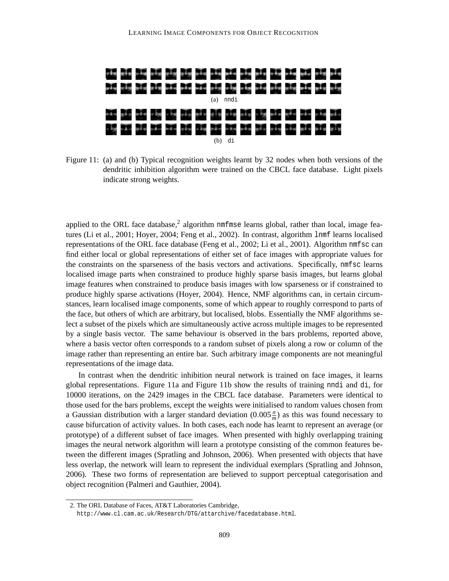

Figure 11: (a) and (b) Typical recognition weights learnt by 32 nodes when both versions of the dendritic inhibition algorithm were trained on the CBCL face database. Light pixels indicate strong weights.

applied to the ORL face database,<sup>2</sup> algorithm nmfmse learns global, rather than local, image features (Li et al., 2001; Hoyer, 2004; Feng et al., 2002). In contrast, algorithm lnmf learns localised representations of the ORL face database (Feng et al., 2002; Li et al., 2001). Algorithm nmfsc can find either local or global representations of either set of face images with appropriate values for the constraints on the sparseness of the basis vectors and activations. Specifically, nmfsc learns localised image parts when constrained to produce highly sparse basis images, but learns global image features when constrained to produce basis images with low sparseness or if constrained to produce highly sparse activations (Hoyer, 2004). Hence, NMF algorithms can, in certain circumstances, learn localised image components, some of which appear to roughly correspond to parts of the face, but others of which are arbitrary, but localised, blobs. Essentially the NMF algorithms select a subset of the pixels which are simultaneously active across multiple images to be represented by a single basis vector. The same behaviour is observed in the bars problems, reported above, where a basis vector often corresponds to a random subset of pixels along a row or column of the image rather than representing an entire bar. Such arbitrary image components are not meaningful representations of the image data.

In contrast when the dendritic inhibition neural network is trained on face images, it learns global representations. Figure 11a and Figure 11b show the results of training nndi and di, for 10000 iterations, on the 2429 images in the CBCL face database. Parameters were identical to those used for the bars problems, except the weights were initialised to random values chosen from a Gaussian distribution with a larger standard deviation  $(0.005 \frac{n}{m})$  as this was found necessary to cause bifurcation of activity values. In both cases, each node has learnt to represent an average (or prototype) of a different subset of face images. When presented with highly overlapping training images the neural network algorithm will learn a prototype consisting of the common features between the different images (Spratling and Johnson, 2006). When presented with objects that have less overlap, the network will learn to represent the individual exemplars (Spratling and Johnson, 2006). These two forms of representation are believed to support perceptual categorisation and object recognition (Palmeri and Gauthier, 2004).

<sup>2.</sup> The ORL Database of Faces, AT&T Laboratories Cambridge,

http://www.cl.cam.ac.uk/Research/DTG/attarchive/facedatabase.html.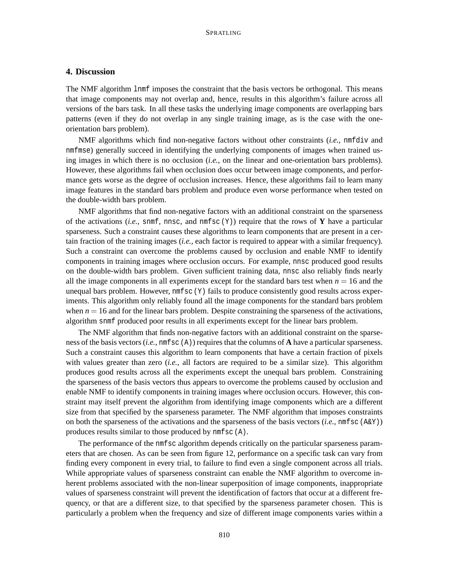# **4. Discussion**

The NMF algorithm lnmf imposes the constraint that the basis vectors be orthogonal. This means that image components may not overlap and, hence, results in this algorithm's failure across all versions of the bars task. In all these tasks the underlying image components are overlapping bars patterns (even if they do not overlap in any single training image, as is the case with the oneorientation bars problem).

NMF algorithms which find non-negative factors without other constraints (*i.e.*, nmfdiv and nmfmse) generally succeed in identifying the underlying components of images when trained using images in which there is no occlusion (*i.e.*, on the linear and one-orientation bars problems). However, these algorithms fail when occlusion does occur between image components, and performance gets worse as the degree of occlusion increases. Hence, these algorithms fail to learn many image features in the standard bars problem and produce even worse performance when tested on the double-width bars problem.

NMF algorithms that find non-negative factors with an additional constraint on the sparseness of the activations (*i.e.*, snmf, nnsc, and nmfsc  $(Y)$ ) require that the rows of Y have a particular sparseness. Such a constraint causes these algorithms to learn components that are present in a certain fraction of the training images (*i.e.*, each factor is required to appear with a similar frequency). Such a constraint can overcome the problems caused by occlusion and enable NMF to identify components in training images where occlusion occurs. For example, nnsc produced good results on the double-width bars problem. Given sufficient training data, nnsc also reliably finds nearly all the image components in all experiments except for the standard bars test when  $n = 16$  and the unequal bars problem. However,  $nmfsc(Y)$  fails to produce consistently good results across experiments. This algorithm only reliably found all the image components for the standard bars problem when  $n = 16$  and for the linear bars problem. Despite constraining the sparseness of the activations, algorithm snmf produced poor results in all experiments except for the linear bars problem.

The NMF algorithm that finds non-negative factors with an additional constraint on the sparseness of the basis vectors  $(i.e., \text{nmfsc}(\mathbf{A}))$  requires that the columns of **A** have a particular sparseness. Such a constraint causes this algorithm to learn components that have a certain fraction of pixels with values greater than zero (*i.e.*, all factors are required to be a similar size). This algorithm produces good results across all the experiments except the unequal bars problem. Constraining the sparseness of the basis vectors thus appears to overcome the problems caused by occlusion and enable NMF to identify components in training images where occlusion occurs. However, this constraint may itself prevent the algorithm from identifying image components which are a different size from that specified by the sparseness parameter. The NMF algorithm that imposes constraints on both the sparseness of the activations and the sparseness of the basis vectors  $(i.e., \text{nmfsc} (A\&Y))$ produces results similar to those produced by nmfsc (A).

The performance of the nmfsc algorithm depends critically on the particular sparseness parameters that are chosen. As can be seen from figure 12, performance on a specific task can vary from finding every component in every trial, to failure to find even a single component across all trials. While appropriate values of sparseness constraint can enable the NMF algorithm to overcome inherent problems associated with the non-linear superposition of image components, inappropriate values of sparseness constraint will prevent the identification of factors that occur at a different frequency, or that are a different size, to that specified by the sparseness parameter chosen. This is particularly a problem when the frequency and size of different image components varies within a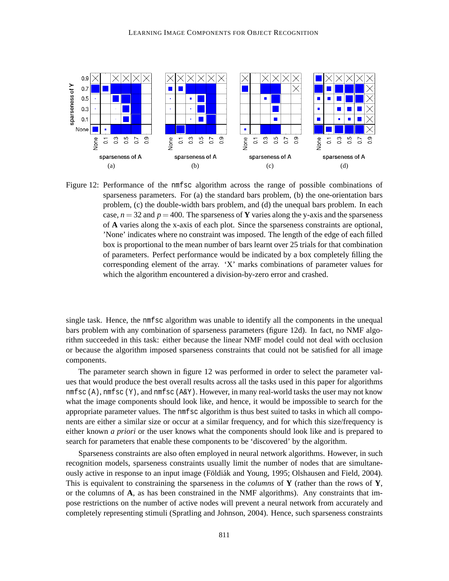

Figure 12: Performance of the nmfsc algorithm across the range of possible combinations of sparseness parameters. For (a) the standard bars problem, (b) the one-orientation bars problem, (c) the double-width bars problem, and (d) the unequal bars problem. In each case,  $n = 32$  and  $p = 400$ . The sparseness of **Y** varies along the y-axis and the sparseness of **A** varies along the x-axis of each plot. Since the sparseness constraints are optional, 'None' indicates where no constraint was imposed. The length of the edge of each filled box is proportional to the mean number of bars learnt over 25 trials for that combination of parameters. Perfect performance would be indicated by a box completely filling the corresponding element of the array. 'X' marks combinations of parameter values for which the algorithm encountered a division-by-zero error and crashed.

single task. Hence, the nmfsc algorithm was unable to identify all the components in the unequal bars problem with any combination of sparseness parameters (figure 12d). In fact, no NMF algorithm succeeded in this task: either because the linear NMF model could not deal with occlusion or because the algorithm imposed sparseness constraints that could not be satisfied for all image components.

The parameter search shown in figure 12 was performed in order to select the parameter values that would produce the best overall results across all the tasks used in this paper for algorithms nmf sc  $(A)$ , nmf sc  $(Y)$ , and nmf sc  $(A\&Y)$ . However, in many real-world tasks the user may not know what the image components should look like, and hence, it would be impossible to search for the appropriate parameter values. The nmfsc algorithm is thus best suited to tasks in which all components are either a similar size or occur at a similar frequency, and for which this size/frequency is either known *a priori* or the user knows what the components should look like and is prepared to search for parameters that enable these components to be 'discovered' by the algorithm.

Sparseness constraints are also often employed in neural network algorithms. However, in such recognition models, sparseness constraints usually limit the number of nodes that are simultaneously active in response to an input image (Földi ak and Young, 1995; Olshausen and Field, 2004). This is equivalent to constraining the sparseness in the *columns* of **Y** (rather than the rows of **Y**, or the columns of **A**, as has been constrained in the NMF algorithms). Any constraints that impose restrictions on the number of active nodes will prevent a neural network from accurately and completely representing stimuli (Spratling and Johnson, 2004). Hence, such sparseness constraints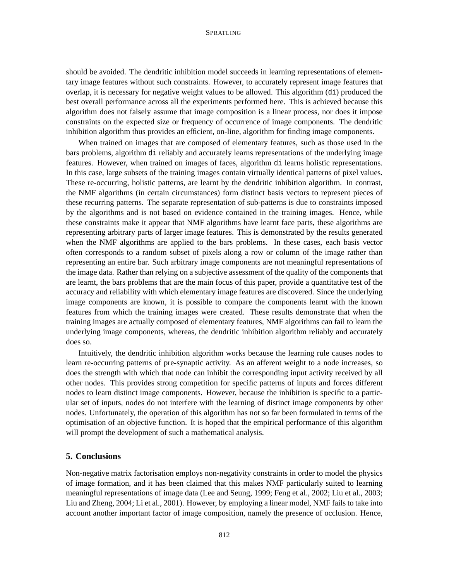should be avoided. The dendritic inhibition model succeeds in learning representations of elementary image features without such constraints. However, to accurately represent image features that overlap, it is necessary for negative weight values to be allowed. This algorithm (di) produced the best overall performance across all the experiments performed here. This is achieved because this algorithm does not falsely assume that image composition is a linear process, nor does it impose constraints on the expected size or frequency of occurrence of image components. The dendritic inhibition algorithm thus provides an efficient, on-line, algorithm for finding image components.

When trained on images that are composed of elementary features, such as those used in the bars problems, algorithm di reliably and accurately learns representations of the underlying image features. However, when trained on images of faces, algorithm di learns holistic representations. In this case, large subsets of the training images contain virtually identical patterns of pixel values. These re-occurring, holistic patterns, are learnt by the dendritic inhibition algorithm. In contrast, the NMF algorithms (in certain circumstances) form distinct basis vectors to represent pieces of these recurring patterns. The separate representation of sub-patterns is due to constraints imposed by the algorithms and is not based on evidence contained in the training images. Hence, while these constraints make it appear that NMF algorithms have learnt face parts, these algorithms are representing arbitrary parts of larger image features. This is demonstrated by the results generated when the NMF algorithms are applied to the bars problems. In these cases, each basis vector often corresponds to a random subset of pixels along a row or column of the image rather than representing an entire bar. Such arbitrary image components are not meaningful representations of the image data. Rather than relying on a subjective assessment of the quality of the components that are learnt, the bars problems that are the main focus of this paper, provide a quantitative test of the accuracy and reliability with which elementary image features are discovered. Since the underlying image components are known, it is possible to compare the components learnt with the known features from which the training images were created. These results demonstrate that when the training images are actually composed of elementary features, NMF algorithms can fail to learn the underlying image components, whereas, the dendritic inhibition algorithm reliably and accurately does so.

Intuitively, the dendritic inhibition algorithm works because the learning rule causes nodes to learn re-occurring patterns of pre-synaptic activity. As an afferent weight to a node increases, so does the strength with which that node can inhibit the corresponding input activity received by all other nodes. This provides strong competition for specific patterns of inputs and forces different nodes to learn distinct image components. However, because the inhibition is specific to a particular set of inputs, nodes do not interfere with the learning of distinct image components by other nodes. Unfortunately, the operation of this algorithm has not so far been formulated in terms of the optimisation of an objective function. It is hoped that the empirical performance of this algorithm will prompt the development of such a mathematical analysis.

# **5. Conclusions**

Non-negative matrix factorisation employs non-negativity constraints in order to model the physics of image formation, and it has been claimed that this makes NMF particularly suited to learning meaningful representations of image data (Lee and Seung, 1999; Feng et al., 2002; Liu et al., 2003; Liu and Zheng, 2004; Li et al., 2001). However, by employing a linear model, NMF fails to take into account another important factor of image composition, namely the presence of occlusion. Hence,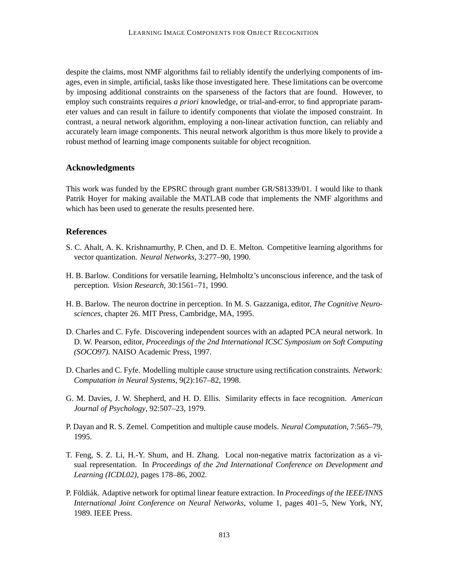despite the claims, most NMF algorithms fail to reliably identify the underlying components of images, even in simple, artificial, tasks like those investigated here. These limitations can be overcome by imposing additional constraints on the sparseness of the factors that are found. However, to employ such constraints requires *a priori* knowledge, or trial-and-error, to find appropriate parameter values and can result in failure to identify components that violate the imposed constraint. In contrast, a neural network algorithm, employing a non-linear activation function, can reliably and accurately learn image components. This neural network algorithm is thus more likely to provide a robust method of learning image components suitable for object recognition.

# **Acknowledgments**

This work was funded by the EPSRC through grant number GR/S81339/01. I would like to thank Patrik Hoyer for making available the MATLAB code that implements the NMF algorithms and which has been used to generate the results presented here.

## **References**

- S. C. Ahalt, A. K. Krishnamurthy, P. Chen, and D. E. Melton. Competitive learning algorithms for vector quantization. *Neural Networks*, 3:277–90, 1990.
- H. B. Barlow. Conditions for versatile learning, Helmholtz's unconscious inference, and the task of perception. *Vision Research*, 30:1561–71, 1990.
- H. B. Barlow. The neuron doctrine in perception. In M. S. Gazzaniga, editor, *The Cognitive Neurosciences*, chapter 26. MIT Press, Cambridge, MA, 1995.
- D. Charles and C. Fyfe. Discovering independent sources with an adapted PCA neural network. In D. W. Pearson, editor, *Proceedings of the 2nd International ICSC Symposium on Soft Computing (SOCO97)*. NAISO Academic Press, 1997.
- D. Charles and C. Fyfe. Modelling multiple cause structure using rectification constraints. *Network: Computation in Neural Systems*, 9(2):167–82, 1998.
- G. M. Davies, J. W. Shepherd, and H. D. Ellis. Similarity effects in face recognition. *American Journal of Psychology*, 92:507–23, 1979.
- P. Dayan and R. S. Zemel. Competition and multiple cause models. *Neural Computation*, 7:565–79, 1995.
- T. Feng, S. Z. Li, H.-Y. Shum, and H. Zhang. Local non-negative matrix factorization as a visual representation. In *Proceedings of the 2nd International Conference on Development and Learning (ICDL02)*, pages 178–86, 2002.
- P. Földiák. Adaptive network for optimal linear feature extraction. In *Proceedings of the IEEE/INNS International Joint Conference on Neural Networks*, volume 1, pages 401–5, New York, NY, 1989. IEEE Press.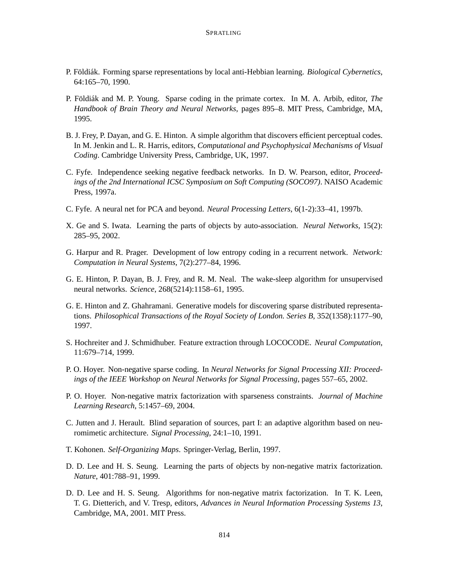- P. Földiák. Forming sparse representations by local anti-Hebbian learning. *Biological Cybernetics*, 64:165–70, 1990.
- P. Földiák and M. P. Young. Sparse coding in the primate cortex. In M. A. Arbib, editor, *The Handbook of Brain Theory and Neural Networks*, pages 895–8. MIT Press, Cambridge, MA, 1995.
- B. J. Frey, P. Dayan, and G. E. Hinton. A simple algorithm that discovers efficient perceptual codes. In M. Jenkin and L. R. Harris, editors, *Computational and Psychophysical Mechanisms of Visual Coding*. Cambridge University Press, Cambridge, UK, 1997.
- C. Fyfe. Independence seeking negative feedback networks. In D. W. Pearson, editor, *Proceedings of the 2nd International ICSC Symposium on Soft Computing (SOCO97)*. NAISO Academic Press, 1997a.
- C. Fyfe. A neural net for PCA and beyond. *Neural Processing Letters*, 6(1-2):33–41, 1997b.
- X. Ge and S. Iwata. Learning the parts of objects by auto-association. *Neural Networks*, 15(2): 285–95, 2002.
- G. Harpur and R. Prager. Development of low entropy coding in a recurrent network. *Network: Computation in Neural Systems*, 7(2):277–84, 1996.
- G. E. Hinton, P. Dayan, B. J. Frey, and R. M. Neal. The wake-sleep algorithm for unsupervised neural networks. *Science*, 268(5214):1158–61, 1995.
- G. E. Hinton and Z. Ghahramani. Generative models for discovering sparse distributed representations. *Philosophical Transactions of the Royal Society of London. Series B*, 352(1358):1177–90, 1997.
- S. Hochreiter and J. Schmidhuber. Feature extraction through LOCOCODE. *Neural Computation*, 11:679–714, 1999.
- P. O. Hoyer. Non-negative sparse coding. In *Neural Networks for Signal Processing XII: Proceedings of the IEEE Workshop on Neural Networks for Signal Processing*, pages 557–65, 2002.
- P. O. Hoyer. Non-negative matrix factorization with sparseness constraints. *Journal of Machine Learning Research*, 5:1457–69, 2004.
- C. Jutten and J. Herault. Blind separation of sources, part I: an adaptive algorithm based on neuromimetic architecture. *Signal Processing*, 24:1–10, 1991.
- T. Kohonen. *Self-Organizing Maps*. Springer-Verlag, Berlin, 1997.
- D. D. Lee and H. S. Seung. Learning the parts of objects by non-negative matrix factorization. *Nature*, 401:788–91, 1999.
- D. D. Lee and H. S. Seung. Algorithms for non-negative matrix factorization. In T. K. Leen, T. G. Dietterich, and V. Tresp, editors, *Advances in Neural Information Processing Systems 13*, Cambridge, MA, 2001. MIT Press.